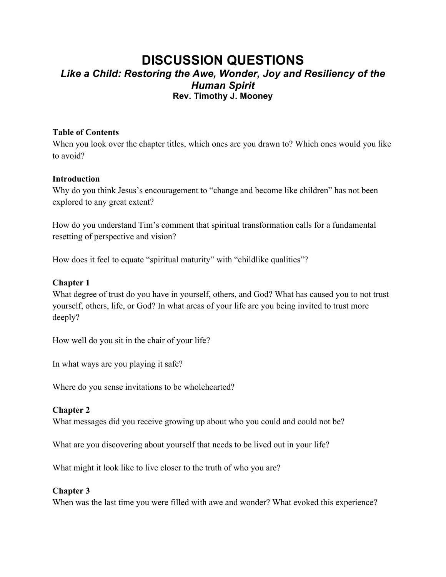# **DISCUSSION QUESTIONS** *Like a Child: Restoring the Awe, Wonder, Joy and Resiliency of the Human Spirit* **Rev. Timothy J. Mooney**

### **Table of Contents**

When you look over the chapter titles, which ones are you drawn to? Which ones would you like to avoid?

## **Introduction**

Why do you think Jesus's encouragement to "change and become like children" has not been explored to any great extent?

How do you understand Tim's comment that spiritual transformation calls for a fundamental resetting of perspective and vision?

How does it feel to equate "spiritual maturity" with "childlike qualities"?

## **Chapter 1**

What degree of trust do you have in yourself, others, and God? What has caused you to not trust yourself, others, life, or God? In what areas of your life are you being invited to trust more deeply?

How well do you sit in the chair of your life?

In what ways are you playing it safe?

Where do you sense invitations to be wholehearted?

#### **Chapter 2**

What messages did you receive growing up about who you could and could not be?

What are you discovering about yourself that needs to be lived out in your life?

What might it look like to live closer to the truth of who you are?

#### **Chapter 3**

When was the last time you were filled with awe and wonder? What evoked this experience?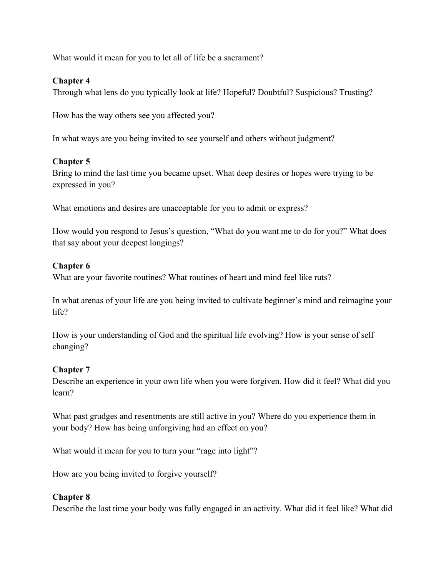What would it mean for you to let all of life be a sacrament?

## **Chapter 4**

Through what lens do you typically look at life? Hopeful? Doubtful? Suspicious? Trusting?

How has the way others see you affected you?

In what ways are you being invited to see yourself and others without judgment?

# **Chapter 5**

Bring to mind the last time you became upset. What deep desires or hopes were trying to be expressed in you?

What emotions and desires are unacceptable for you to admit or express?

How would you respond to Jesus's question, "What do you want me to do for you?" What does that say about your deepest longings?

## **Chapter 6**

What are your favorite routines? What routines of heart and mind feel like ruts?

In what arenas of your life are you being invited to cultivate beginner's mind and reimagine your life?

How is your understanding of God and the spiritual life evolving? How is your sense of self changing?

# **Chapter 7**

Describe an experience in your own life when you were forgiven. How did it feel? What did you learn?

What past grudges and resentments are still active in you? Where do you experience them in your body? How has being unforgiving had an effect on you?

What would it mean for you to turn your "rage into light"?

How are you being invited to forgive yourself?

#### **Chapter 8**

Describe the last time your body was fully engaged in an activity. What did it feel like? What did